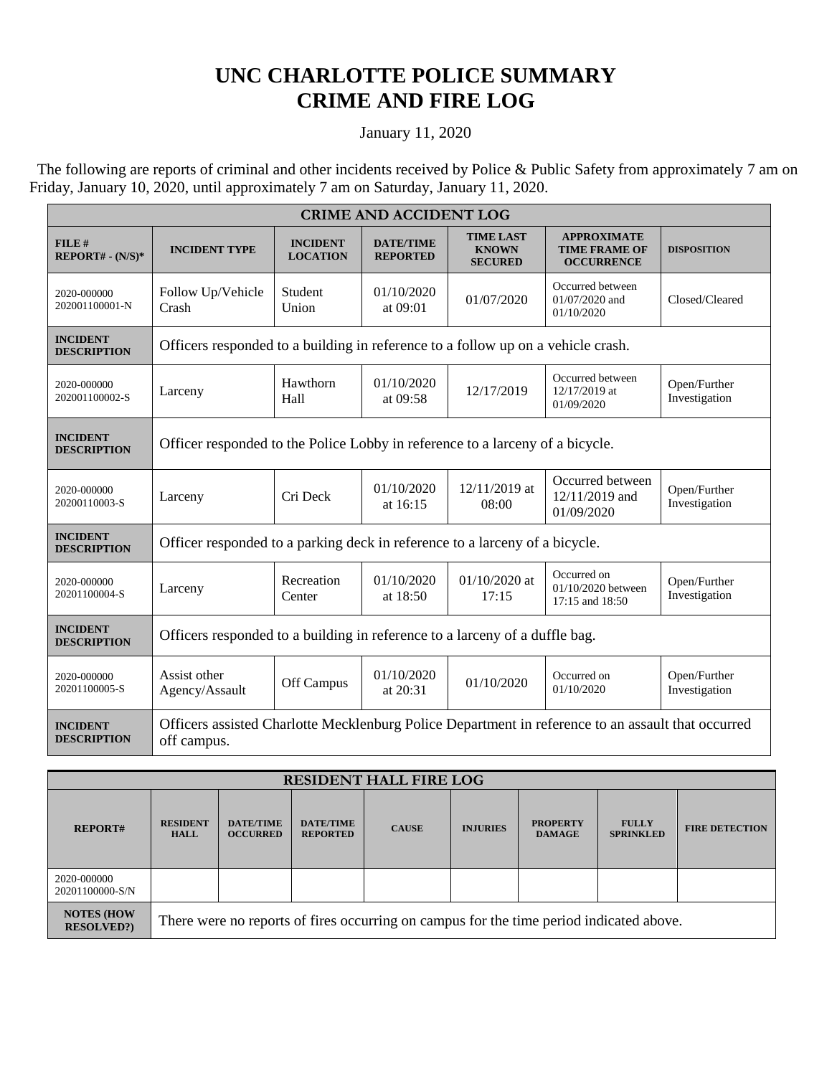## **UNC CHARLOTTE POLICE SUMMARY CRIME AND FIRE LOG**

January 11, 2020

 The following are reports of criminal and other incidents received by Police & Public Safety from approximately 7 am on Friday, January 10, 2020, until approximately 7 am on Saturday, January 11, 2020.

| <b>CRIME AND ACCIDENT LOG</b>         |                                                                                                                   |                                    |                                     |                                                    |                                                                 |                               |  |  |
|---------------------------------------|-------------------------------------------------------------------------------------------------------------------|------------------------------------|-------------------------------------|----------------------------------------------------|-----------------------------------------------------------------|-------------------------------|--|--|
| FILE#<br>$REPORT# - (N/S)*$           | <b>INCIDENT TYPE</b>                                                                                              | <b>INCIDENT</b><br><b>LOCATION</b> | <b>DATE/TIME</b><br><b>REPORTED</b> | <b>TIME LAST</b><br><b>KNOWN</b><br><b>SECURED</b> | <b>APPROXIMATE</b><br><b>TIME FRAME OF</b><br><b>OCCURRENCE</b> | <b>DISPOSITION</b>            |  |  |
| 2020-000000<br>202001100001-N         | Follow Up/Vehicle<br>Crash                                                                                        | Student<br>Union                   | 01/10/2020<br>at 09:01              | 01/07/2020                                         | Occurred between<br>01/07/2020 and<br>01/10/2020                | Closed/Cleared                |  |  |
| <b>INCIDENT</b><br><b>DESCRIPTION</b> | Officers responded to a building in reference to a follow up on a vehicle crash.                                  |                                    |                                     |                                                    |                                                                 |                               |  |  |
| 2020-000000<br>202001100002-S         | Larceny                                                                                                           | Hawthorn<br>Hall                   | 01/10/2020<br>at 09:58              | 12/17/2019                                         | Occurred between<br>12/17/2019 at<br>01/09/2020                 | Open/Further<br>Investigation |  |  |
| <b>INCIDENT</b><br><b>DESCRIPTION</b> | Officer responded to the Police Lobby in reference to a larceny of a bicycle.                                     |                                    |                                     |                                                    |                                                                 |                               |  |  |
| 2020-000000<br>20200110003-S          | Larceny                                                                                                           | Cri Deck                           | 01/10/2020<br>at 16:15              | 12/11/2019 at<br>08:00                             | Occurred between<br>12/11/2019 and<br>01/09/2020                | Open/Further<br>Investigation |  |  |
| <b>INCIDENT</b><br><b>DESCRIPTION</b> | Officer responded to a parking deck in reference to a larceny of a bicycle.                                       |                                    |                                     |                                                    |                                                                 |                               |  |  |
| 2020-000000<br>20201100004-S          | Larceny                                                                                                           | Recreation<br>Center               | 01/10/2020<br>at $18:50$            | $01/10/2020$ at<br>17:15                           | Occurred on<br>01/10/2020 between<br>17:15 and 18:50            | Open/Further<br>Investigation |  |  |
| <b>INCIDENT</b><br><b>DESCRIPTION</b> | Officers responded to a building in reference to a larceny of a duffle bag.                                       |                                    |                                     |                                                    |                                                                 |                               |  |  |
| 2020-000000<br>20201100005-S          | Assist other<br>Agency/Assault                                                                                    | Off Campus                         | 01/10/2020<br>at 20:31              | 01/10/2020                                         | Occurred on<br>01/10/2020                                       | Open/Further<br>Investigation |  |  |
| <b>INCIDENT</b><br><b>DESCRIPTION</b> | Officers assisted Charlotte Mecklenburg Police Department in reference to an assault that occurred<br>off campus. |                                    |                                     |                                                    |                                                                 |                               |  |  |

| <b>RESIDENT HALL FIRE LOG</b>          |                                                                                         |                                     |                                     |              |                 |                                  |                                  |                       |
|----------------------------------------|-----------------------------------------------------------------------------------------|-------------------------------------|-------------------------------------|--------------|-----------------|----------------------------------|----------------------------------|-----------------------|
| <b>REPORT#</b>                         | <b>RESIDENT</b><br><b>HALL</b>                                                          | <b>DATE/TIME</b><br><b>OCCURRED</b> | <b>DATE/TIME</b><br><b>REPORTED</b> | <b>CAUSE</b> | <b>INJURIES</b> | <b>PROPERTY</b><br><b>DAMAGE</b> | <b>FULLY</b><br><b>SPRINKLED</b> | <b>FIRE DETECTION</b> |
| 2020-000000<br>20201100000-S/N         |                                                                                         |                                     |                                     |              |                 |                                  |                                  |                       |
| <b>NOTES (HOW</b><br><b>RESOLVED?)</b> | There were no reports of fires occurring on campus for the time period indicated above. |                                     |                                     |              |                 |                                  |                                  |                       |